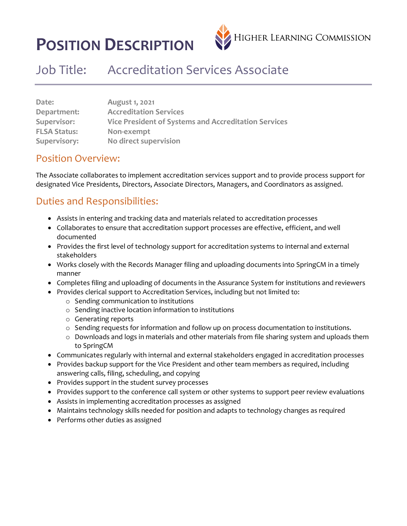# **POSITION DESCRIPTION**



## Job Title: Accreditation Services Associate

| Date:               | August 1, 2021                                       |
|---------------------|------------------------------------------------------|
| Department:         | <b>Accreditation Services</b>                        |
| Supervisor:         | Vice President of Systems and Accreditation Services |
| <b>FLSA Status:</b> | Non-exempt                                           |
| Supervisory:        | No direct supervision                                |

#### Position Overview:

The Associate collaborates to implement accreditation services support and to provide process support for designated Vice Presidents, Directors, Associate Directors, Managers, and Coordinators as assigned.

#### Duties and Responsibilities:

- Assists in entering and tracking data and materials related to accreditation processes
- Collaborates to ensure that accreditation support processes are effective, efficient, and well documented
- Provides the first level of technology support for accreditation systems to internal and external stakeholders
- Works closely with the Records Manager filing and uploading documents into SpringCM in a timely manner
- Completes filing and uploading of documents in the Assurance System for institutions and reviewers
- Provides clerical support to Accreditation Services, including but not limited to:
	- o Sending communication to institutions
	- o Sending inactive location information to institutions
	- o Generating reports
	- o Sending requests for information and follow up on process documentation to institutions.
	- $\circ$  Downloads and logs in materials and other materials from file sharing system and uploads them to SpringCM
- Communicates regularly with internal and external stakeholders engaged in accreditation processes
- Provides backup support for the Vice President and other team members as required, including answering calls, filing, scheduling, and copying
- Provides support in the student survey processes
- Provides support to the conference call system or other systems to support peer review evaluations
- Assists in implementing accreditation processes as assigned
- Maintains technology skills needed for position and adapts to technology changes as required
- Performs other duties as assigned